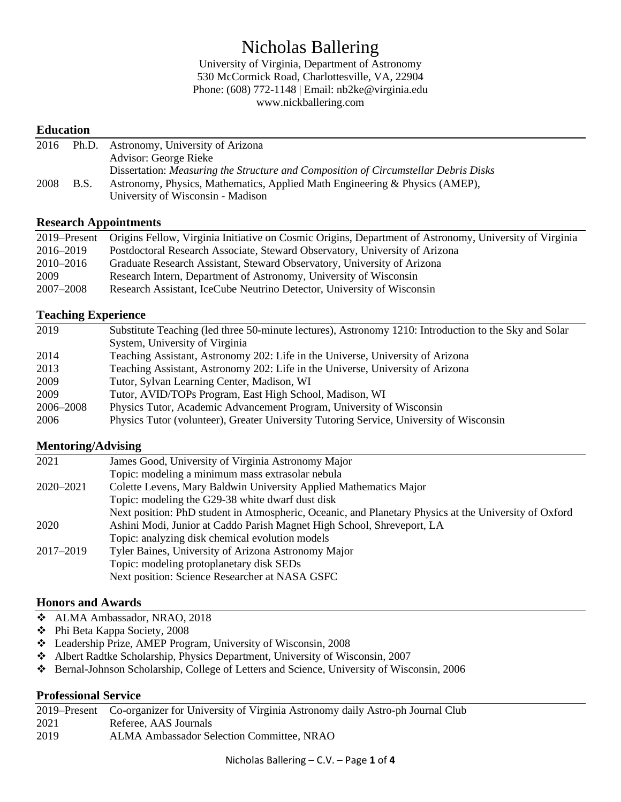# Nicholas Ballering

University of Virginia, Department of Astronomy 530 McCormick Road, Charlottesville, VA, 22904 Phone: (608) 772-1148 | Email: nb2ke@virginia.edu www.nickballering.com

#### **Education**

| 2016 |             | Ph.D. Astronomy, University of Arizona                                              |
|------|-------------|-------------------------------------------------------------------------------------|
|      |             | Advisor: George Rieke                                                               |
|      |             | Dissertation: Measuring the Structure and Composition of Circumstellar Debris Disks |
| 2008 | <b>B.S.</b> | Astronomy, Physics, Mathematics, Applied Math Engineering & Physics (AMEP),         |
|      |             | University of Wisconsin - Madison                                                   |

#### **Research Appointments**

| 2019–Present | Origins Fellow, Virginia Initiative on Cosmic Origins, Department of Astronomy, University of Virginia |
|--------------|--------------------------------------------------------------------------------------------------------|
| 2016–2019    | Postdoctoral Research Associate, Steward Observatory, University of Arizona                            |
| 2010-2016    | Graduate Research Assistant, Steward Observatory, University of Arizona                                |
| 2009         | Research Intern, Department of Astronomy, University of Wisconsin                                      |
| 2007–2008    | Research Assistant, IceCube Neutrino Detector, University of Wisconsin                                 |

### **Teaching Experience**

| 2019      | Substitute Teaching (led three 50-minute lectures), Astronomy 1210: Introduction to the Sky and Solar |
|-----------|-------------------------------------------------------------------------------------------------------|
|           | System, University of Virginia                                                                        |
| 2014      | Teaching Assistant, Astronomy 202: Life in the Universe, University of Arizona                        |
| 2013      | Teaching Assistant, Astronomy 202: Life in the Universe, University of Arizona                        |
| 2009      | Tutor, Sylvan Learning Center, Madison, WI                                                            |
| 2009      | Tutor, AVID/TOPs Program, East High School, Madison, WI                                               |
| 2006–2008 | Physics Tutor, Academic Advancement Program, University of Wisconsin                                  |
| 2006      | Physics Tutor (volunteer), Greater University Tutoring Service, University of Wisconsin               |

#### **Mentoring/Advising**

| 2021      | James Good, University of Virginia Astronomy Major                                                    |
|-----------|-------------------------------------------------------------------------------------------------------|
|           | Topic: modeling a minimum mass extrasolar nebula                                                      |
| 2020–2021 | Colette Levens, Mary Baldwin University Applied Mathematics Major                                     |
|           | Topic: modeling the G29-38 white dwarf dust disk                                                      |
|           | Next position: PhD student in Atmospheric, Oceanic, and Planetary Physics at the University of Oxford |
| 2020      | Ashini Modi, Junior at Caddo Parish Magnet High School, Shreveport, LA                                |
|           | Topic: analyzing disk chemical evolution models                                                       |
| 2017–2019 | Tyler Baines, University of Arizona Astronomy Major                                                   |
|           | Topic: modeling protoplanetary disk SEDs                                                              |
|           | Next position: Science Researcher at NASA GSFC                                                        |

### **Honors and Awards**

- ❖ ALMA Ambassador, NRAO, 2018
- ❖ Phi Beta Kappa Society, 2008
- ❖ Leadership Prize, AMEP Program, University of Wisconsin, 2008
- ❖ Albert Radtke Scholarship, Physics Department, University of Wisconsin, 2007
- ❖ Bernal-Johnson Scholarship, College of Letters and Science, University of Wisconsin, 2006

#### **Professional Service**

|      | 2019–Present Co-organizer for University of Virginia Astronomy daily Astro-ph Journal Club |
|------|--------------------------------------------------------------------------------------------|
| 2021 | Referee, AAS Journals                                                                      |
| 2019 | ALMA Ambassador Selection Committee, NRAO                                                  |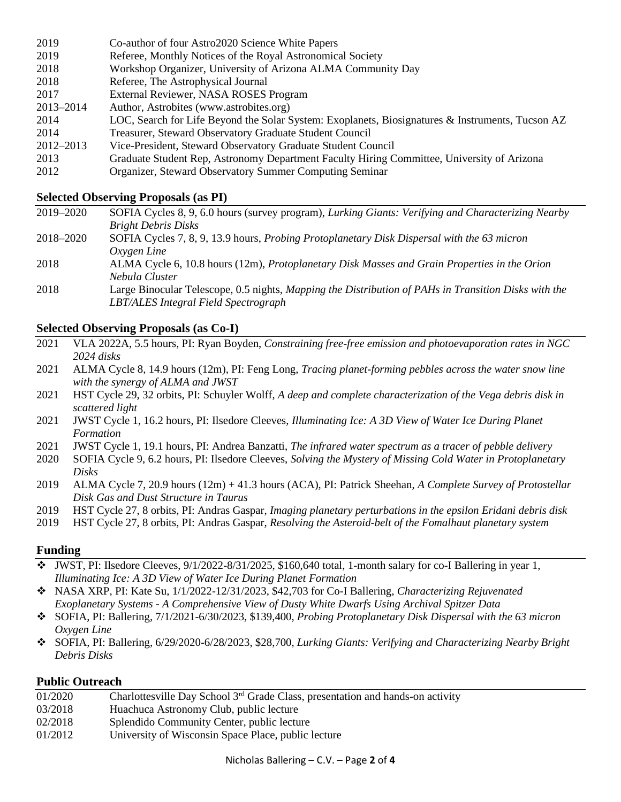- 2019 Co-author of four Astro2020 Science White Papers
- 2019 Referee, Monthly Notices of the Royal Astronomical Society
- 2018 Workshop Organizer, University of Arizona ALMA Community Day
- 2018 Referee, The Astrophysical Journal
- 2017 External Reviewer, NASA ROSES Program
- 2013–2014 Author, Astrobites (www.astrobites.org)
- 2014 LOC, Search for Life Beyond the Solar System: Exoplanets, Biosignatures & Instruments, Tucson AZ 2014 Treasurer, Steward Observatory Graduate Student Council
- 2012–2013 Vice-President, Steward Observatory Graduate Student Council
- 2013 Graduate Student Rep, Astronomy Department Faculty Hiring Committee, University of Arizona
- 2012 Organizer, Steward Observatory Summer Computing Seminar

#### **Selected Observing Proposals (as PI)**

| 2019–2020 | SOFIA Cycles 8, 9, 6.0 hours (survey program), Lurking Giants: Verifying and Characterizing Nearby   |
|-----------|------------------------------------------------------------------------------------------------------|
|           | <b>Bright Debris Disks</b>                                                                           |
| 2018–2020 | SOFIA Cycles 7, 8, 9, 13.9 hours, <i>Probing Protoplanetary Disk Dispersal with the 63 micron</i>    |
|           | Oxygen Line                                                                                          |
| 2018      | ALMA Cycle 6, 10.8 hours (12m), Protoplanetary Disk Masses and Grain Properties in the Orion         |
|           | Nebula Cluster                                                                                       |
| 2018      | Large Binocular Telescope, 0.5 nights, Mapping the Distribution of PAHs in Transition Disks with the |
|           | LBT/ALES Integral Field Spectrograph                                                                 |

#### **Selected Observing Proposals (as Co-I)**

- 2021 VLA 2022A, 5.5 hours, PI: Ryan Boyden, *Constraining free-free emission and photoevaporation rates in NGC 2024 disks*
- 2021 ALMA Cycle 8, 14.9 hours (12m), PI: Feng Long, *Tracing planet-forming pebbles across the water snow line with the synergy of ALMA and JWST*
- 2021 HST Cycle 29, 32 orbits, PI: Schuyler Wolff, *A deep and complete characterization of the Vega debris disk in scattered light*
- 2021 JWST Cycle 1, 16.2 hours, PI: Ilsedore Cleeves, *Illuminating Ice: A 3D View of Water Ice During Planet Formation*
- 2021 JWST Cycle 1, 19.1 hours, PI: Andrea Banzatti, *The infrared water spectrum as a tracer of pebble delivery*
- 2020 SOFIA Cycle 9, 6.2 hours, PI: Ilsedore Cleeves, *Solving the Mystery of Missing Cold Water in Protoplanetary Disks*
- 2019 ALMA Cycle 7, 20.9 hours (12m) + 41.3 hours (ACA), PI: Patrick Sheehan, *A Complete Survey of Protostellar Disk Gas and Dust Structure in Taurus*
- 2019 HST Cycle 27, 8 orbits, PI: Andras Gaspar, *Imaging planetary perturbations in the epsilon Eridani debris disk*
- 2019 HST Cycle 27, 8 orbits, PI: Andras Gaspar, *Resolving the Asteroid-belt of the Fomalhaut planetary system*

#### **Funding**

- ❖ JWST, PI: Ilsedore Cleeves, 9/1/2022-8/31/2025, \$160,640 total, 1-month salary for co-I Ballering in year 1, *Illuminating Ice: A 3D View of Water Ice During Planet Formation*
- ❖ NASA XRP, PI: Kate Su, 1/1/2022-12/31/2023, \$42,703 for Co-I Ballering, *Characterizing Rejuvenated Exoplanetary Systems - A Comprehensive View of Dusty White Dwarfs Using Archival Spitzer Data*
- ❖ SOFIA, PI: Ballering, 7/1/2021-6/30/2023, \$139,400, *Probing Protoplanetary Disk Dispersal with the 63 micron Oxygen Line*
- ❖ SOFIA, PI: Ballering, 6/29/2020-6/28/2023, \$28,700, *Lurking Giants: Verifying and Characterizing Nearby Bright Debris Disks*

#### **Public Outreach**

| 01/2020 | Charlottesville Day School 3 <sup>rd</sup> Grade Class, presentation and hands-on activity |
|---------|--------------------------------------------------------------------------------------------|
| 03/2018 | Huachuca Astronomy Club, public lecture                                                    |
| 02/2018 | Splendido Community Center, public lecture                                                 |
| 01/2012 | University of Wisconsin Space Place, public lecture                                        |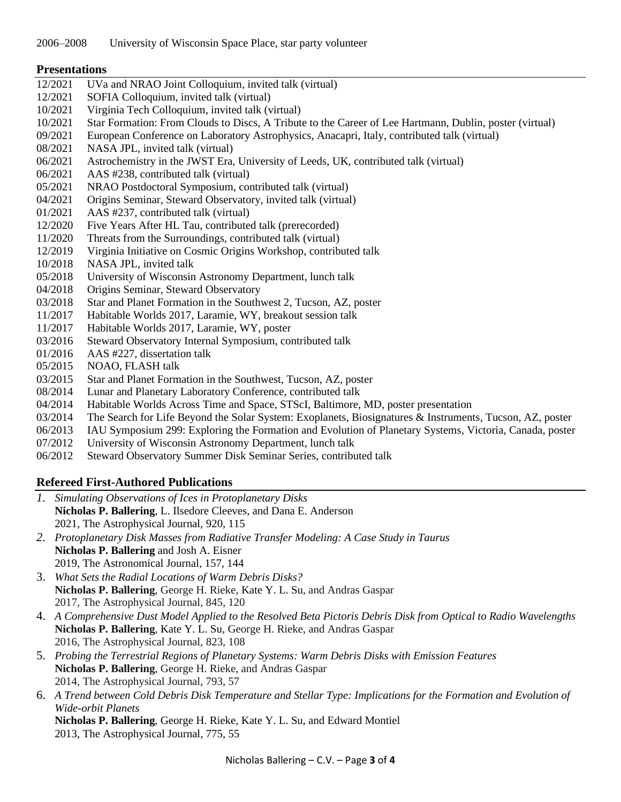#### **Presentations**

- 12/2021 UVa and NRAO Joint Colloquium, invited talk (virtual)
- 12/2021 SOFIA Colloquium, invited talk (virtual)
- 10/2021 Virginia Tech Colloquium, invited talk (virtual)
- 10/2021 Star Formation: From Clouds to Discs, A Tribute to the Career of Lee Hartmann, Dublin, poster (virtual)
- 09/2021 European Conference on Laboratory Astrophysics, Anacapri, Italy, contributed talk (virtual)
- 08/2021 NASA JPL, invited talk (virtual)
- 06/2021 Astrochemistry in the JWST Era, University of Leeds, UK, contributed talk (virtual)
- 06/2021 AAS #238, contributed talk (virtual)
- 05/2021 NRAO Postdoctoral Symposium, contributed talk (virtual)
- 04/2021 Origins Seminar, Steward Observatory, invited talk (virtual)
- 01/2021 AAS #237, contributed talk (virtual)
- 12/2020 Five Years After HL Tau, contributed talk (prerecorded)
- 11/2020 Threats from the Surroundings, contributed talk (virtual)
- 12/2019 Virginia Initiative on Cosmic Origins Workshop, contributed talk
- 10/2018 NASA JPL, invited talk
- 05/2018 University of Wisconsin Astronomy Department, lunch talk
- 04/2018 Origins Seminar, Steward Observatory
- 03/2018 Star and Planet Formation in the Southwest 2, Tucson, AZ, poster
- 11/2017 Habitable Worlds 2017, Laramie, WY, breakout session talk
- 11/2017 Habitable Worlds 2017, Laramie, WY, poster
- 03/2016 Steward Observatory Internal Symposium, contributed talk
- 01/2016 AAS #227, dissertation talk
- 05/2015 NOAO, FLASH talk
- 03/2015 Star and Planet Formation in the Southwest, Tucson, AZ, poster
- 08/2014 Lunar and Planetary Laboratory Conference, contributed talk
- 04/2014 Habitable Worlds Across Time and Space, STScI, Baltimore, MD, poster presentation
- 03/2014 The Search for Life Beyond the Solar System: Exoplanets, Biosignatures & Instruments, Tucson, AZ, poster
- 06/2013 IAU Symposium 299: Exploring the Formation and Evolution of Planetary Systems, Victoria, Canada, poster
- 07/2012 University of Wisconsin Astronomy Department, lunch talk
- 06/2012 Steward Observatory Summer Disk Seminar Series, contributed talk

## **Refereed First-Authored Publications**

*1. Simulating Observations of Ices in Protoplanetary Disks* **Nicholas P. Ballering**, L. Ilsedore Cleeves, and Dana E. Anderson 2021, The Astrophysical Journal, 920, 115 *2. Protoplanetary Disk Masses from Radiative Transfer Modeling: A Case Study in Taurus* **Nicholas P. Ballering** and Josh A. Eisner 2019, The Astronomical Journal, 157, 144 3. *What Sets the Radial Locations of Warm Debris Disks?* **Nicholas P. Ballering**, George H. Rieke, Kate Y. L. Su, and Andras Gaspar 2017, The Astrophysical Journal, 845, 120 4. *A Comprehensive Dust Model Applied to the Resolved Beta Pictoris Debris Disk from Optical to Radio Wavelengths* **Nicholas P. Ballering**, Kate Y. L. Su, George H. Rieke, and Andras Gaspar 2016, The Astrophysical Journal, 823, 108 5. *Probing the Terrestrial Regions of Planetary Systems: Warm Debris Disks with Emission Features*  **Nicholas P. Ballering**, George H. Rieke, and Andras Gaspar 2014, The Astrophysical Journal, 793, 57 6. *A Trend between Cold Debris Disk Temperature and Stellar Type: Implications for the Formation and Evolution of Wide-orbit Planets*

**Nicholas P. Ballering**, George H. Rieke, Kate Y. L. Su, and Edward Montiel 2013, The Astrophysical Journal, 775, 55